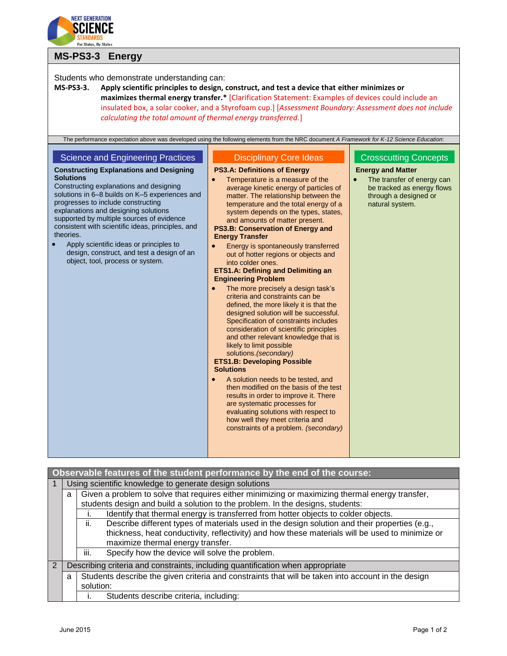

## **MS-PS3-3 Energy**

| Students who demonstrate understanding can:                                                                                                |                                                                                                                                                                                                    |                                          |  |  |
|--------------------------------------------------------------------------------------------------------------------------------------------|----------------------------------------------------------------------------------------------------------------------------------------------------------------------------------------------------|------------------------------------------|--|--|
| MS-PS3-3.                                                                                                                                  | Apply scientific principles to design, construct, and test a device that either minimizes or<br>maximizes thermal energy transfer.* [Clarification Statement: Examples of devices could include an |                                          |  |  |
|                                                                                                                                            | insulated box, a solar cooker, and a Styrofoam cup.] [Assessment Boundary: Assessment does not include                                                                                             |                                          |  |  |
| calculating the total amount of thermal energy transferred.]                                                                               |                                                                                                                                                                                                    |                                          |  |  |
|                                                                                                                                            |                                                                                                                                                                                                    |                                          |  |  |
| The performance expectation above was developed using the following elements from the NRC document A Framework for K-12 Science Education: |                                                                                                                                                                                                    |                                          |  |  |
|                                                                                                                                            |                                                                                                                                                                                                    |                                          |  |  |
| <b>Science and Engineering Practices</b>                                                                                                   | <b>Disciplinary Core Ideas</b>                                                                                                                                                                     | <b>Crosscutting Concepts</b>             |  |  |
| <b>Constructing Explanations and Designing</b>                                                                                             | <b>PS3.A: Definitions of Energy</b>                                                                                                                                                                | <b>Energy and Matter</b>                 |  |  |
| <b>Solutions</b>                                                                                                                           | Temperature is a measure of the                                                                                                                                                                    | The transfer of energy can               |  |  |
| Constructing explanations and designing<br>solutions in 6-8 builds on K-5 experiences and                                                  | average kinetic energy of particles of                                                                                                                                                             | be tracked as energy flows               |  |  |
| progresses to include constructing                                                                                                         | matter. The relationship between the<br>temperature and the total energy of a                                                                                                                      | through a designed or<br>natural system. |  |  |
| explanations and designing solutions                                                                                                       | system depends on the types, states,                                                                                                                                                               |                                          |  |  |
| supported by multiple sources of evidence                                                                                                  | and amounts of matter present.                                                                                                                                                                     |                                          |  |  |
| consistent with scientific ideas, principles, and<br>theories.                                                                             | PS3.B: Conservation of Energy and<br><b>Energy Transfer</b>                                                                                                                                        |                                          |  |  |
| Apply scientific ideas or principles to                                                                                                    | Energy is spontaneously transferred                                                                                                                                                                |                                          |  |  |
| design, construct, and test a design of an                                                                                                 | out of hotter regions or objects and                                                                                                                                                               |                                          |  |  |
| object, tool, process or system.                                                                                                           | into colder ones.                                                                                                                                                                                  |                                          |  |  |
|                                                                                                                                            | <b>ETS1.A: Defining and Delimiting an</b>                                                                                                                                                          |                                          |  |  |
|                                                                                                                                            | <b>Engineering Problem</b><br>The more precisely a design task's                                                                                                                                   |                                          |  |  |
|                                                                                                                                            | criteria and constraints can be                                                                                                                                                                    |                                          |  |  |
|                                                                                                                                            | defined, the more likely it is that the                                                                                                                                                            |                                          |  |  |
|                                                                                                                                            | designed solution will be successful.                                                                                                                                                              |                                          |  |  |
|                                                                                                                                            | Specification of constraints includes<br>consideration of scientific principles                                                                                                                    |                                          |  |  |
|                                                                                                                                            | and other relevant knowledge that is                                                                                                                                                               |                                          |  |  |
|                                                                                                                                            | likely to limit possible                                                                                                                                                                           |                                          |  |  |
|                                                                                                                                            | solutions. (secondary)                                                                                                                                                                             |                                          |  |  |
|                                                                                                                                            | <b>ETS1.B: Developing Possible</b><br><b>Solutions</b>                                                                                                                                             |                                          |  |  |
|                                                                                                                                            | A solution needs to be tested, and<br>$\bullet$                                                                                                                                                    |                                          |  |  |
|                                                                                                                                            | then modified on the basis of the test                                                                                                                                                             |                                          |  |  |
|                                                                                                                                            | results in order to improve it. There                                                                                                                                                              |                                          |  |  |
|                                                                                                                                            | are systematic processes for<br>evaluating solutions with respect to                                                                                                                               |                                          |  |  |
|                                                                                                                                            | how well they meet criteria and                                                                                                                                                                    |                                          |  |  |
|                                                                                                                                            | constraints of a problem. (secondary)                                                                                                                                                              |                                          |  |  |
|                                                                                                                                            |                                                                                                                                                                                                    |                                          |  |  |
|                                                                                                                                            |                                                                                                                                                                                                    |                                          |  |  |
|                                                                                                                                            |                                                                                                                                                                                                    |                                          |  |  |

| Observable features of the student performance by the end of the course: |                                                                                |                                                                                                                                                                                                                                              |  |  |  |
|--------------------------------------------------------------------------|--------------------------------------------------------------------------------|----------------------------------------------------------------------------------------------------------------------------------------------------------------------------------------------------------------------------------------------|--|--|--|
|                                                                          | Using scientific knowledge to generate design solutions                        |                                                                                                                                                                                                                                              |  |  |  |
|                                                                          | a                                                                              | Given a problem to solve that requires either minimizing or maximizing thermal energy transfer,<br>students design and build a solution to the problem. In the designs, students:                                                            |  |  |  |
|                                                                          |                                                                                | Identify that thermal energy is transferred from hotter objects to colder objects.                                                                                                                                                           |  |  |  |
|                                                                          |                                                                                | Describe different types of materials used in the design solution and their properties (e.g.,<br>ii.<br>thickness, heat conductivity, reflectivity) and how these materials will be used to minimize or<br>maximize thermal energy transfer. |  |  |  |
|                                                                          |                                                                                | Specify how the device will solve the problem.<br>iii.                                                                                                                                                                                       |  |  |  |
| $\overline{2}$                                                           | Describing criteria and constraints, including quantification when appropriate |                                                                                                                                                                                                                                              |  |  |  |
|                                                                          | a                                                                              | Students describe the given criteria and constraints that will be taken into account in the design                                                                                                                                           |  |  |  |
|                                                                          |                                                                                | solution:                                                                                                                                                                                                                                    |  |  |  |
|                                                                          |                                                                                | Students describe criteria, including:                                                                                                                                                                                                       |  |  |  |